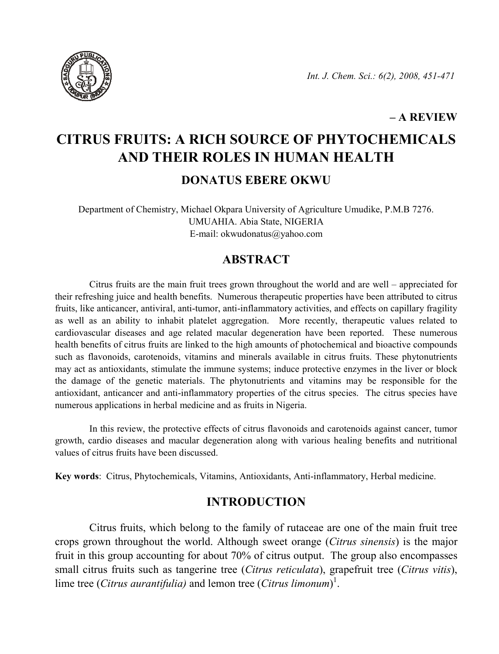

### – A REVIEW

# CITRUS FRUITS: A RICH SOURCE OF PHYTOCHEMICALS AND THEIR ROLES IN HUMAN HEALTH DONATUS EBERE OKWU

Department of Chemistry, Michael Okpara University of Agriculture Umudike, P.M.B 7276. UMUAHIA. Abia State, NIGERIA E-mail: okwudonatus@yahoo.com

# **ABSTRACT**

Citrus fruits are the main fruit trees grown throughout the world and are well – appreciated for their refreshing juice and health benefits. Numerous therapeutic properties have been attributed to citrus fruits, like anticancer, antiviral, anti-tumor, anti-inflammatory activities, and effects on capillary fragility as well as an ability to inhabit platelet aggregation. More recently, therapeutic values related to cardiovascular diseases and age related macular degeneration have been reported. These numerous health benefits of citrus fruits are linked to the high amounts of photochemical and bioactive compounds such as flavonoids, carotenoids, vitamins and minerals available in citrus fruits. These phytonutrients may act as antioxidants, stimulate the immune systems; induce protective enzymes in the liver or block the damage of the genetic materials. The phytonutrients and vitamins may be responsible for the antioxidant, anticancer and anti-inflammatory properties of the citrus species. The citrus species have numerous applications in herbal medicine and as fruits in Nigeria.

In this review, the protective effects of citrus flavonoids and carotenoids against cancer, tumor growth, cardio diseases and macular degeneration along with various healing benefits and nutritional values of citrus fruits have been discussed.

Key words: Citrus, Phytochemicals, Vitamins, Antioxidants, Anti-inflammatory, Herbal medicine.

## INTRODUCTION

Citrus fruits, which belong to the family of rutaceae are one of the main fruit tree crops grown throughout the world. Although sweet orange (Citrus sinensis) is the major fruit in this group accounting for about 70% of citrus output. The group also encompasses small citrus fruits such as tangerine tree *(Citrus reticulata)*, grapefruit tree *(Citrus vitis)*, lime tree (*Citrus aurantifulia*) and lemon tree (*Citrus limonum*)<sup>1</sup>.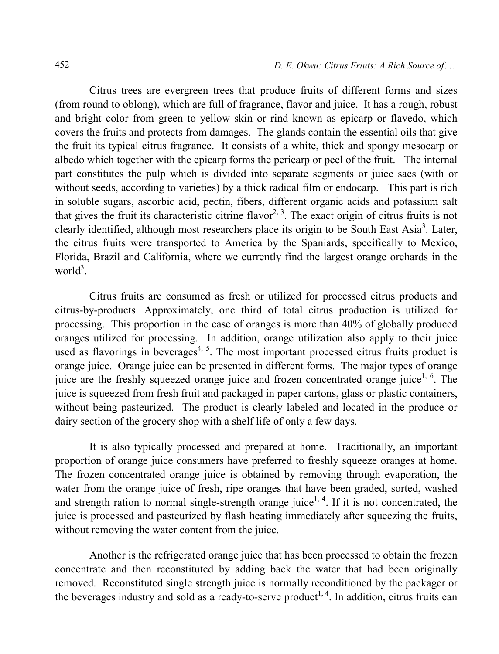Citrus trees are evergreen trees that produce fruits of different forms and sizes (from round to oblong), which are full of fragrance, flavor and juice. It has a rough, robust and bright color from green to yellow skin or rind known as epicarp or flavedo, which covers the fruits and protects from damages. The glands contain the essential oils that give the fruit its typical citrus fragrance. It consists of a white, thick and spongy mesocarp or albedo which together with the epicarp forms the pericarp or peel of the fruit. The internal part constitutes the pulp which is divided into separate segments or juice sacs (with or without seeds, according to varieties) by a thick radical film or endocarp. This part is rich in soluble sugars, ascorbic acid, pectin, fibers, different organic acids and potassium salt that gives the fruit its characteristic citrine flavor<sup>2, 3</sup>. The exact origin of citrus fruits is not clearly identified, although most researchers place its origin to be South East Asia<sup>3</sup>. Later, the citrus fruits were transported to America by the Spaniards, specifically to Mexico, Florida, Brazil and California, where we currently find the largest orange orchards in the world<sup>3</sup>.

Citrus fruits are consumed as fresh or utilized for processed citrus products and citrus-by-products. Approximately, one third of total citrus production is utilized for processing. This proportion in the case of oranges is more than 40% of globally produced oranges utilized for processing. In addition, orange utilization also apply to their juice used as flavorings in beverages<sup>4, 5</sup>. The most important processed citrus fruits product is orange juice. Orange juice can be presented in different forms. The major types of orange juice are the freshly squeezed orange juice and frozen concentrated orange juice<sup>1,  $6$ </sup>. The juice is squeezed from fresh fruit and packaged in paper cartons, glass or plastic containers, without being pasteurized. The product is clearly labeled and located in the produce or dairy section of the grocery shop with a shelf life of only a few days.

It is also typically processed and prepared at home. Traditionally, an important proportion of orange juice consumers have preferred to freshly squeeze oranges at home. The frozen concentrated orange juice is obtained by removing through evaporation, the water from the orange juice of fresh, ripe oranges that have been graded, sorted, washed and strength ration to normal single-strength orange juice<sup>1, 4</sup>. If it is not concentrated, the juice is processed and pasteurized by flash heating immediately after squeezing the fruits, without removing the water content from the juice.

Another is the refrigerated orange juice that has been processed to obtain the frozen concentrate and then reconstituted by adding back the water that had been originally removed. Reconstituted single strength juice is normally reconditioned by the packager or the beverages industry and sold as a ready-to-serve product<sup>1, 4</sup>. In addition, citrus fruits can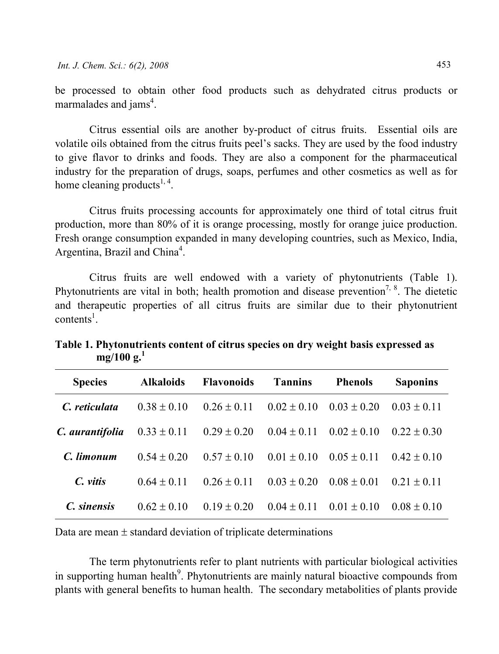be processed to obtain other food products such as dehydrated citrus products or marmalades and jams<sup>4</sup>.

Citrus essential oils are another by-product of citrus fruits. Essential oils are volatile oils obtained from the citrus fruits peel's sacks. They are used by the food industry to give flavor to drinks and foods. They are also a component for the pharmaceutical industry for the preparation of drugs, soaps, perfumes and other cosmetics as well as for home cleaning products<sup>1, 4</sup>.

Citrus fruits processing accounts for approximately one third of total citrus fruit production, more than 80% of it is orange processing, mostly for orange juice production. Fresh orange consumption expanded in many developing countries, such as Mexico, India, Argentina, Brazil and China<sup>4</sup>.

Citrus fruits are well endowed with a variety of phytonutrients (Table 1). Phytonutrients are vital in both; health promotion and disease prevention<sup>7, 8</sup>. The dietetic and therapeutic properties of all citrus fruits are similar due to their phytonutrient  $contents<sup>1</sup>$ .

| <b>Species</b>  | <b>Alkaloids</b> | <b>Flavonoids</b> | <b>Tannins</b>  | <b>Phenols</b>  | <b>Saponins</b> |
|-----------------|------------------|-------------------|-----------------|-----------------|-----------------|
| C. reticulata   | $0.38 \pm 0.10$  | $0.26 \pm 0.11$   | $0.02 \pm 0.10$ | $0.03 \pm 0.20$ | $0.03 + 0.11$   |
| C. aurantifolia | $0.33 \pm 0.11$  | $0.29 \pm 0.20$   | $0.04 \pm 0.11$ | $0.02 \pm 0.10$ | $0.22 \pm 0.30$ |
| C. limonum      | $0.54 + 0.20$    | $0.57 + 0.10$     | $0.01 + 0.10$   | $0.05 \pm 0.11$ | $0.42 \pm 0.10$ |
| $C.$ vitis      | $0.64 \pm 0.11$  | $0.26 \pm 0.11$   | $0.03 \pm 0.20$ | $0.08 \pm 0.01$ | $0.21 + 0.11$   |
| C. sinensis     | $0.62 \pm 0.10$  | $0.19 + 0.20$     | $0.04 \pm 0.11$ | $0.01 + 0.10$   | $0.08 + 0.10$   |

Table 1. Phytonutrients content of citrus species on dry weight basis expressed as  $mg/100 g.<sup>1</sup>$ 

Data are mean  $\pm$  standard deviation of triplicate determinations

The term phytonutrients refer to plant nutrients with particular biological activities in supporting human health<sup>9</sup>. Phytonutrients are mainly natural bioactive compounds from plants with general benefits to human health. The secondary metabolities of plants provide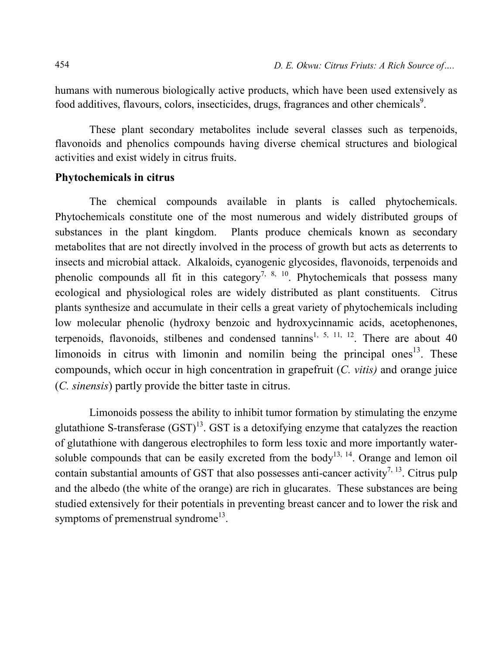humans with numerous biologically active products, which have been used extensively as food additives, flavours, colors, insecticides, drugs, fragrances and other chemicals<sup>9</sup>.

These plant secondary metabolites include several classes such as terpenoids, flavonoids and phenolics compounds having diverse chemical structures and biological activities and exist widely in citrus fruits.

#### Phytochemicals in citrus

The chemical compounds available in plants is called phytochemicals. Phytochemicals constitute one of the most numerous and widely distributed groups of substances in the plant kingdom. Plants produce chemicals known as secondary metabolites that are not directly involved in the process of growth but acts as deterrents to insects and microbial attack. Alkaloids, cyanogenic glycosides, flavonoids, terpenoids and phenolic compounds all fit in this category<sup>7, 8, 10</sup>. Phytochemicals that possess many ecological and physiological roles are widely distributed as plant constituents. Citrus plants synthesize and accumulate in their cells a great variety of phytochemicals including low molecular phenolic (hydroxy benzoic and hydroxycinnamic acids, acetophenones, terpenoids, flavonoids, stilbenes and condensed tannins<sup>1, 5, 11, 12</sup>. There are about 40 limonoids in citrus with limonin and nomilin being the principal ones<sup>13</sup>. These compounds, which occur in high concentration in grapefruit  $(C. vitis)$  and orange juice (C. sinensis) partly provide the bitter taste in citrus.

Limonoids possess the ability to inhibit tumor formation by stimulating the enzyme glutathione S-transferase  $(GST)^{13}$ . GST is a detoxifying enzyme that catalyzes the reaction of glutathione with dangerous electrophiles to form less toxic and more importantly watersoluble compounds that can be easily excreted from the body<sup>13, 14</sup>. Orange and lemon oil contain substantial amounts of GST that also possesses anti-cancer activity<sup>7, 13</sup>. Citrus pulp and the albedo (the white of the orange) are rich in glucarates. These substances are being studied extensively for their potentials in preventing breast cancer and to lower the risk and symptoms of premenstrual syndrome<sup>13</sup>.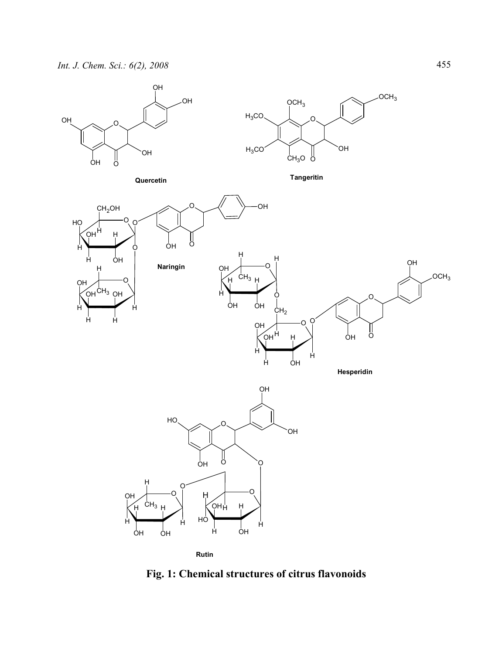

Fig. 1: Chemical structures of citrus flavonoids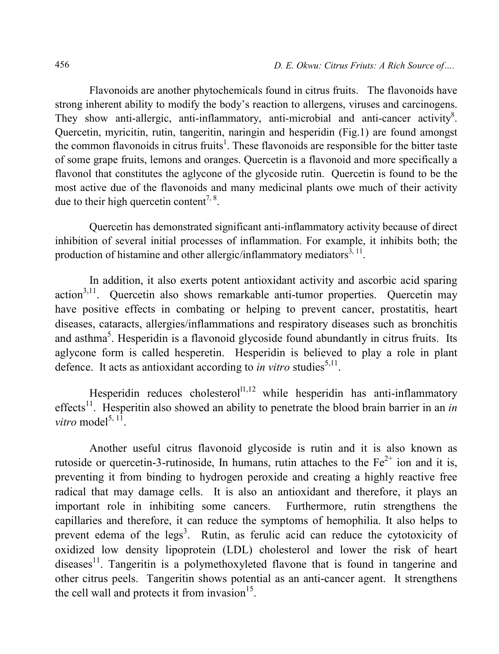Flavonoids are another phytochemicals found in citrus fruits. The flavonoids have strong inherent ability to modify the body's reaction to allergens, viruses and carcinogens. They show anti-allergic, anti-inflammatory, anti-microbial and anti-cancer activity<sup>8</sup>. Quercetin, myricitin, rutin, tangeritin, naringin and hesperidin (Fig.1) are found amongst the common flavonoids in citrus fruits<sup>1</sup>. These flavonoids are responsible for the bitter taste of some grape fruits, lemons and oranges. Quercetin is a flavonoid and more specifically a flavonol that constitutes the aglycone of the glycoside rutin. Quercetin is found to be the most active due of the flavonoids and many medicinal plants owe much of their activity due to their high quercetin content<sup>7, 8</sup>.

Quercetin has demonstrated significant anti-inflammatory activity because of direct inhibition of several initial processes of inflammation. For example, it inhibits both; the production of histamine and other allergic/inflammatory mediators<sup>3, 11</sup>.

In addition, it also exerts potent antioxidant activity and ascorbic acid sparing  $\arctan^{3,11}$ . Ouercetin also shows remarkable anti-tumor properties. Quercetin may have positive effects in combating or helping to prevent cancer, prostatitis, heart diseases, cataracts, allergies/inflammations and respiratory diseases such as bronchitis and asthma<sup>5</sup>. Hesperidin is a flavonoid glycoside found abundantly in citrus fruits. Its aglycone form is called hesperetin. Hesperidin is believed to play a role in plant defence. It acts as antioxidant according to *in vitro* studies<sup>5,11</sup>.

Hesperidin reduces cholesterol<sup>11,12</sup> while hesperidin has anti-inflammatory effects<sup>11</sup>. Hesperitin also showed an ability to penetrate the blood brain barrier in an in *vitro* model<sup>5, 11</sup>.

Another useful citrus flavonoid glycoside is rutin and it is also known as rutoside or quercetin-3-rutinoside, In humans, rutin attaches to the  $Fe^{2+}$  ion and it is, preventing it from binding to hydrogen peroxide and creating a highly reactive free radical that may damage cells. It is also an antioxidant and therefore, it plays an important role in inhibiting some cancers. Furthermore, rutin strengthens the capillaries and therefore, it can reduce the symptoms of hemophilia. It also helps to prevent edema of the legs<sup>3</sup>. Rutin, as ferulic acid can reduce the cytotoxicity of oxidized low density lipoprotein (LDL) cholesterol and lower the risk of heart  $diseases<sup>11</sup>$ . Tangeritin is a polymethoxyleted flavone that is found in tangerine and other citrus peels. Tangeritin shows potential as an anti-cancer agent. It strengthens the cell wall and protects it from invasion $15$ .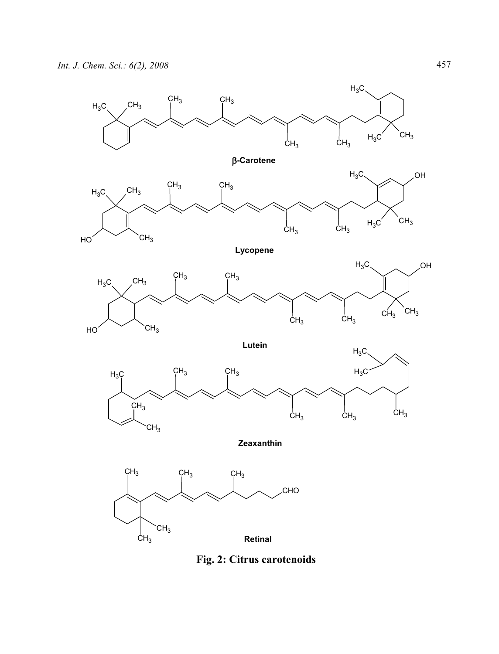

Fig. 2: Citrus carotenoids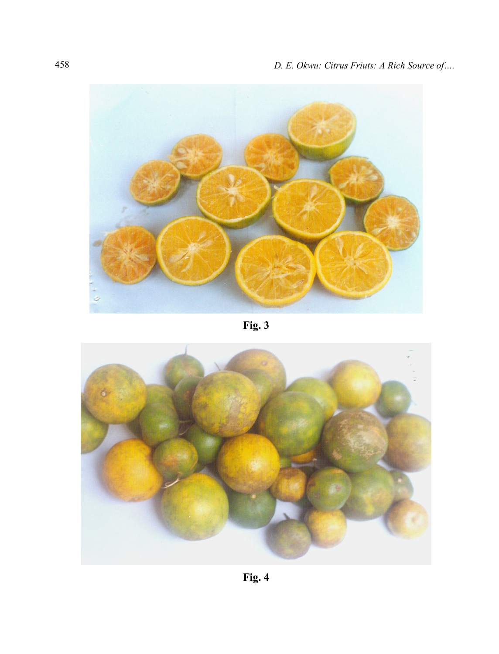

Fig. 3

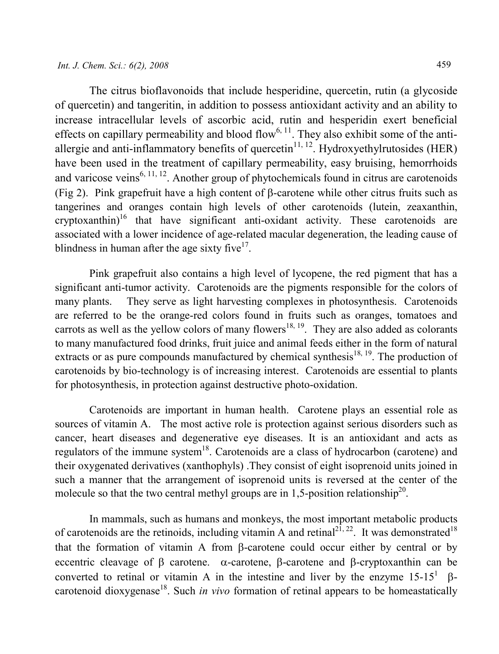The citrus bioflavonoids that include hesperidine, quercetin, rutin (a glycoside of quercetin) and tangeritin, in addition to possess antioxidant activity and an ability to increase intracellular levels of ascorbic acid, rutin and hesperidin exert beneficial effects on capillary permeability and blood flow<sup>6, 11</sup>. They also exhibit some of the antiallergie and anti-inflammatory benefits of quercetin $11, 12$ . Hydroxyethylrutosides (HER) have been used in the treatment of capillary permeability, easy bruising, hemorrhoids and varicose veins<sup>6, 11, 12</sup>. Another group of phytochemicals found in citrus are carotenoids (Fig 2). Pink grapefruit have a high content of β-carotene while other citrus fruits such as tangerines and oranges contain high levels of other carotenoids (lutein, zeaxanthin, cryptoxanthin)<sup>16</sup> that have significant anti-oxidant activity. These carotenoids are associated with a lower incidence of age-related macular degeneration, the leading cause of blindness in human after the age sixty five $17$ .

Pink grapefruit also contains a high level of lycopene, the red pigment that has a significant anti-tumor activity. Carotenoids are the pigments responsible for the colors of many plants. They serve as light harvesting complexes in photosynthesis. Carotenoids are referred to be the orange-red colors found in fruits such as oranges, tomatoes and carrots as well as the yellow colors of many flowers<sup>18, 19</sup>. They are also added as colorants to many manufactured food drinks, fruit juice and animal feeds either in the form of natural extracts or as pure compounds manufactured by chemical synthesis<sup>18, 19</sup>. The production of carotenoids by bio-technology is of increasing interest. Carotenoids are essential to plants for photosynthesis, in protection against destructive photo-oxidation.

Carotenoids are important in human health. Carotene plays an essential role as sources of vitamin A. The most active role is protection against serious disorders such as cancer, heart diseases and degenerative eye diseases. It is an antioxidant and acts as regulators of the immune system<sup>18</sup>. Carotenoids are a class of hydrocarbon (carotene) and their oxygenated derivatives (xanthophyls) .They consist of eight isoprenoid units joined in such a manner that the arrangement of isoprenoid units is reversed at the center of the molecule so that the two central methyl groups are in 1,5-position relationship<sup>20</sup>.

In mammals, such as humans and monkeys, the most important metabolic products of carotenoids are the retinoids, including vitamin A and retinal<sup>21, 22</sup>. It was demonstrated<sup>18</sup> that the formation of vitamin A from β-carotene could occur either by central or by eccentric cleavage of β carotene. α-carotene, β-carotene and β-cryptoxanthin can be converted to retinal or vitamin A in the intestine and liver by the enzyme  $15-15^1$  βcarotenoid dioxygenase<sup>18</sup>. Such *in vivo* formation of retinal appears to be homeastatically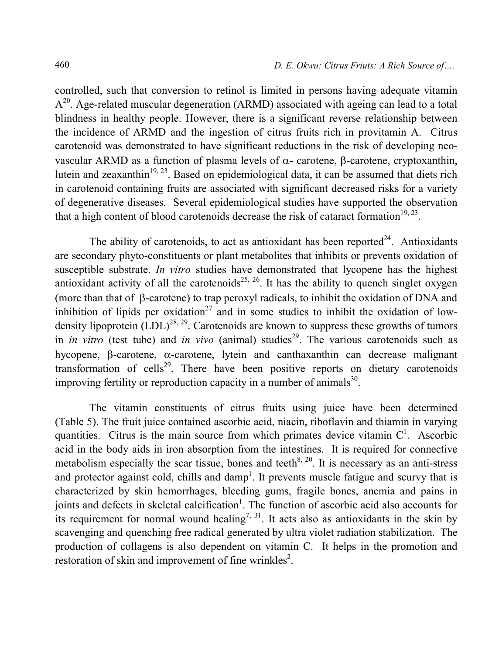controlled, such that conversion to retinol is limited in persons having adequate vitamin  $A<sup>20</sup>$ . Age-related muscular degeneration (ARMD) associated with ageing can lead to a total blindness in healthy people. However, there is a significant reverse relationship between the incidence of ARMD and the ingestion of citrus fruits rich in provitamin A. Citrus carotenoid was demonstrated to have significant reductions in the risk of developing neovascular ARMD as a function of plasma levels of  $\alpha$ - carotene, β-carotene, cryptoxanthin, lutein and zeaxanthin<sup>19, 23</sup>. Based on epidemiological data, it can be assumed that diets rich in carotenoid containing fruits are associated with significant decreased risks for a variety of degenerative diseases. Several epidemiological studies have supported the observation that a high content of blood carotenoids decrease the risk of cataract formation $19, 23$ .

The ability of carotenoids, to act as antioxidant has been reported<sup>24</sup>. Antioxidants are secondary phyto-constituents or plant metabolites that inhibits or prevents oxidation of susceptible substrate. In vitro studies have demonstrated that lycopene has the highest antioxidant activity of all the carotenoids<sup>25, 26</sup>. It has the ability to quench singlet oxygen (more than that of β-carotene) to trap peroxyl radicals, to inhibit the oxidation of DNA and inhibition of lipids per oxidation<sup>27</sup> and in some studies to inhibit the oxidation of lowdensity lipoprotein  $(LDL)^{28, 29}$ . Carotenoids are known to suppress these growths of tumors in *in vitro* (test tube) and *in vivo* (animal) studies<sup>29</sup>. The various carotenoids such as hycopene, β-carotene, α-carotene, lytein and canthaxanthin can decrease malignant transformation of cells<sup>29</sup>. There have been positive reports on dietary carotenoids improving fertility or reproduction capacity in a number of animals<sup>30</sup>.

The vitamin constituents of citrus fruits using juice have been determined (Table 5). The fruit juice contained ascorbic acid, niacin, riboflavin and thiamin in varying quantities. Citrus is the main source from which primates device vitamin  $C<sup>1</sup>$ . Ascorbic acid in the body aids in iron absorption from the intestines. It is required for connective metabolism especially the scar tissue, bones and teeth<sup>8, 20</sup>. It is necessary as an anti-stress and protector against cold, chills and damp<sup>1</sup>. It prevents muscle fatigue and scurvy that is characterized by skin hemorrhages, bleeding gums, fragile bones, anemia and pains in joints and defects in skeletal calcification<sup>1</sup>. The function of ascorbic acid also accounts for its requirement for normal wound healing<sup>7, 31</sup>. It acts also as antioxidants in the skin by scavenging and quenching free radical generated by ultra violet radiation stabilization. The production of collagens is also dependent on vitamin C. It helps in the promotion and restoration of skin and improvement of fine wrinkles<sup>2</sup>.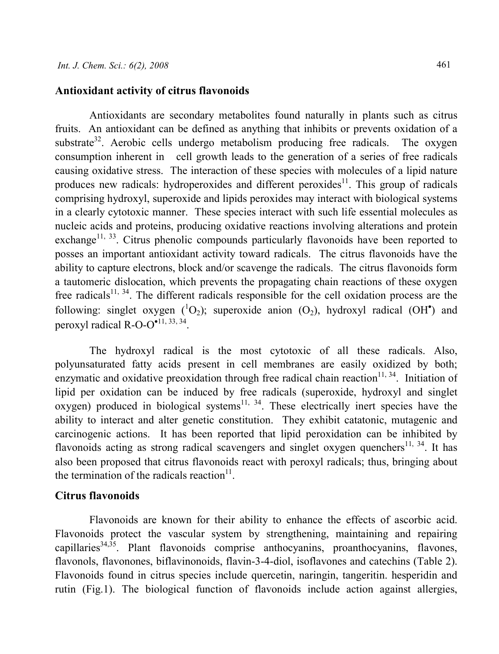#### Antioxidant activity of citrus flavonoids

Antioxidants are secondary metabolites found naturally in plants such as citrus fruits. An antioxidant can be defined as anything that inhibits or prevents oxidation of a substrate<sup>32</sup>. Aerobic cells undergo metabolism producing free radicals. The oxygen consumption inherent in cell growth leads to the generation of a series of free radicals causing oxidative stress. The interaction of these species with molecules of a lipid nature produces new radicals: hydroperoxides and different peroxides<sup>11</sup>. This group of radicals comprising hydroxyl, superoxide and lipids peroxides may interact with biological systems in a clearly cytotoxic manner. These species interact with such life essential molecules as nucleic acids and proteins, producing oxidative reactions involving alterations and protein exchange<sup>11, 33</sup>. Citrus phenolic compounds particularly flavonoids have been reported to posses an important antioxidant activity toward radicals. The citrus flavonoids have the ability to capture electrons, block and/or scavenge the radicals. The citrus flavonoids form a tautomeric dislocation, which prevents the propagating chain reactions of these oxygen free radicals<sup>11, 34</sup>. The different radicals responsible for the cell oxidation process are the following: singlet oxygen  $(^1O_2)$ ; superoxide anion  $(O_2)$ , hydroxyl radical  $(OH^{\bullet})$  and peroxyl radical  $R-O-O^{\bullet 11, 33, 34}$ .

The hydroxyl radical is the most cytotoxic of all these radicals. Also, polyunsaturated fatty acids present in cell membranes are easily oxidized by both; enzymatic and oxidative preoxidation through free radical chain reaction<sup>11, 34</sup>. Initiation of lipid per oxidation can be induced by free radicals (superoxide, hydroxyl and singlet oxygen) produced in biological systems<sup>11, 34</sup>. These electrically inert species have the ability to interact and alter genetic constitution. They exhibit catatonic, mutagenic and carcinogenic actions. It has been reported that lipid peroxidation can be inhibited by flavonoids acting as strong radical scavengers and singlet oxygen quenchers<sup>11, 34</sup>. It has also been proposed that citrus flavonoids react with peroxyl radicals; thus, bringing about the termination of the radicals reaction $11$ .

## Citrus flavonoids

Flavonoids are known for their ability to enhance the effects of ascorbic acid. Flavonoids protect the vascular system by strengthening, maintaining and repairing capillaries<sup>34,35</sup>. Plant flavonoids comprise anthocyanins, proanthocyanins, flavones, flavonols, flavonones, biflavinonoids, flavin-3-4-diol, isoflavones and catechins (Table 2). Flavonoids found in citrus species include quercetin, naringin, tangeritin. hesperidin and rutin (Fig.1). The biological function of flavonoids include action against allergies,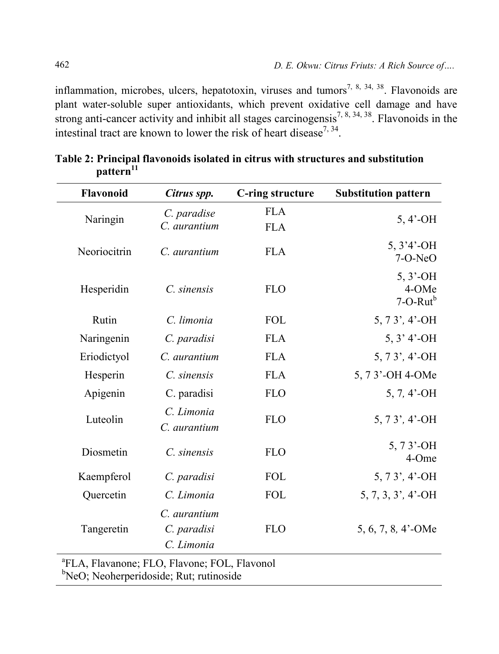inflammation, microbes, ulcers, hepatotoxin, viruses and tumors<sup>7, 8, 34, 38</sup>. Flavonoids are plant water-soluble super antioxidants, which prevent oxidative cell damage and have strong anti-cancer activity and inhibit all stages carcinogensis<sup>7, 8, 34, 38</sup>. Flavonoids in the intestinal tract are known to lower the risk of heart disease<sup>7, 34</sup>.

| Flavonoid    | Citrus spp.                               | C-ring structure         | <b>Substitution pattern</b>            |
|--------------|-------------------------------------------|--------------------------|----------------------------------------|
| Naringin     | C. paradise<br>C. aurantium               | <b>FLA</b><br><b>FLA</b> | $5, 4'$ -OH                            |
| Neoriocitrin | C. aurantium                              | <b>FLA</b>               | $5, 3'4'$ -OH<br>7-O-NeO               |
| Hesperidin   | C. sinensis                               | <b>FLO</b>               | $5, 3'$ -OH<br>4-OMe<br>$7$ -O-Rut $b$ |
| Rutin        | C. limonia                                | <b>FOL</b>               | $5, 73', 4'$ -OH                       |
| Naringenin   | C. paradisi                               | <b>FLA</b>               | $5, 3' 4'$ -OH                         |
| Eriodictyol  | C. aurantium                              | <b>FLA</b>               | $5, 73', 4'$ -OH                       |
| Hesperin     | C. sinensis                               | <b>FLA</b>               | 5, 73'-OH 4-OMe                        |
| Apigenin     | C. paradisi                               | <b>FLO</b>               | $5, 7, 4$ <sup>2</sup> -OH             |
| Luteolin     | C. Limonia<br>C. aurantium                | <b>FLO</b>               | $5, 73', 4'$ -OH                       |
| Diosmetin    | C. sinensis                               | <b>FLO</b>               | $5, 73'$ -OH<br>4-Ome                  |
| Kaempferol   | C. paradisi                               | <b>FOL</b>               | $5, 73', 4'$ -OH                       |
| Quercetin    | C. Limonia                                | <b>FOL</b>               | $5, 7, 3, 3', 4'$ -OH                  |
| Tangeretin   | C. aurantium<br>C. paradisi<br>C. Limonia | <b>FLO</b>               | 5, 6, 7, 8, 4'-OMe                     |

Table 2: Principal flavonoids isolated in citrus with structures and substitution pattern<sup>11</sup>

a FLA, Flavanone; FLO, Flavone; FOL, Flavonol

<sup>b</sup>NeO; Neoherperidoside; Rut; rutinoside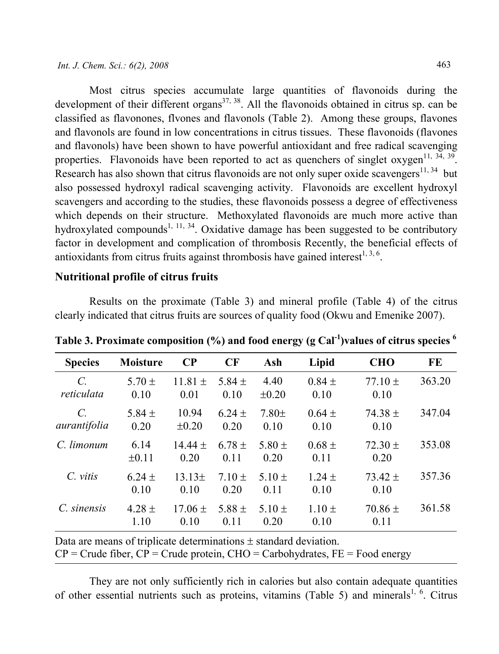Most citrus species accumulate large quantities of flavonoids during the development of their different organs<sup>37, 38</sup>. All the flavonoids obtained in citrus sp. can be classified as flavonones, flvones and flavonols (Table 2). Among these groups, flavones and flavonols are found in low concentrations in citrus tissues. These flavonoids (flavones and flavonols) have been shown to have powerful antioxidant and free radical scavenging properties. Flavonoids have been reported to act as quenchers of singlet oxygen<sup>11, 34, 39</sup>. Research has also shown that citrus flavonoids are not only super oxide scavengers<sup>11, 34</sup> but also possessed hydroxyl radical scavenging activity. Flavonoids are excellent hydroxyl scavengers and according to the studies, these flavonoids possess a degree of effectiveness which depends on their structure. Methoxylated flavonoids are much more active than hydroxylated compounds<sup>1, 11, 34</sup>. Oxidative damage has been suggested to be contributory factor in development and complication of thrombosis Recently, the beneficial effects of antioxidants from citrus fruits against thrombosis have gained interest<sup>1, 3, 6</sup>.

# Nutritional profile of citrus fruits

Results on the proximate (Table 3) and mineral profile (Table 4) of the citrus clearly indicated that citrus fruits are sources of quality food (Okwu and Emenike 2007).

| <b>Species</b>                | <b>Moisture</b>    | $\bf CP$            | CF                 | Ash                | Lipid              | <b>CHO</b>          | FE     |
|-------------------------------|--------------------|---------------------|--------------------|--------------------|--------------------|---------------------|--------|
| $\mathcal{C}$ .<br>reticulata | $5.70 \pm$<br>0.10 | $11.81 \pm$<br>0.01 | 5.84 $\pm$<br>0.10 | 4.40<br>$\pm 0.20$ | $0.84 \pm$<br>0.10 | $77.10 \pm$<br>0.10 | 363.20 |
| $\mathcal{C}$<br>aurantifolia | 5.84 $\pm$<br>0.20 | 10.94<br>$\pm 0.20$ | $6.24 \pm$<br>0.20 | $7.80 \pm$<br>0.10 | $0.64 \pm$<br>0.10 | $74.38 \pm$<br>0.10 | 347.04 |
| C. limonum                    | 6.14<br>$\pm 0.11$ | $14.44 \pm$<br>0.20 | $6.78 \pm$<br>0.11 | 5.80 $\pm$<br>0.20 | $0.68 \pm$<br>0.11 | $72.30 \pm$<br>0.20 | 353.08 |
| C. vitis                      | $6.24 \pm$<br>0.10 | $13.13\pm$<br>0.10  | $7.10 \pm$<br>0.20 | $5.10 \pm$<br>0.11 | $1.24 \pm$<br>0.10 | $73.42 \pm$<br>0.10 | 357.36 |
| C. sinensis                   | $4.28 \pm$<br>1.10 | $17.06 \pm$<br>0.10 | 5.88 $\pm$<br>0.11 | $5.10 \pm$<br>0.20 | $1.10 \pm$<br>0.10 | $70.86 \pm$<br>0.11 | 361.58 |

Table 3. Proximate composition  $\frac{6}{6}$  and food energy (g Cal<sup>-1</sup>)values of citrus species <sup>6</sup>

Data are means of triplicate determinations ± standard deviation.  $CP =$  Crude fiber,  $CP =$  Crude protein,  $CHO =$  Carbohydrates,  $FE =$  Food energy

They are not only sufficiently rich in calories but also contain adequate quantities of other essential nutrients such as proteins, vitamins (Table 5) and minerals<sup>1, 6</sup>. Citrus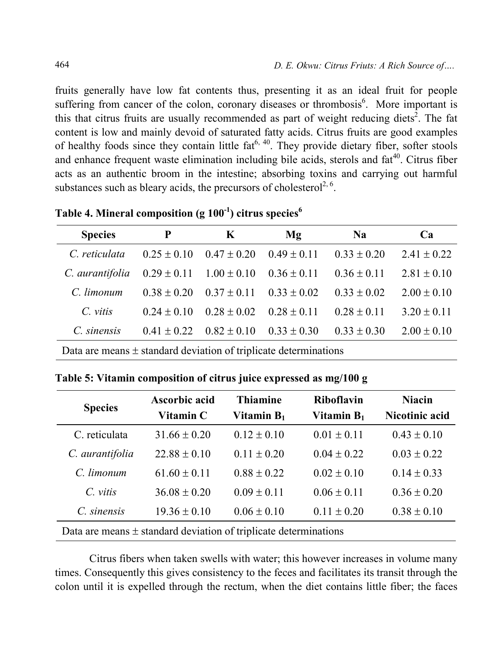fruits generally have low fat contents thus, presenting it as an ideal fruit for people suffering from cancer of the colon, coronary diseases or thrombosis<sup>6</sup>. More important is this that citrus fruits are usually recommended as part of weight reducing diets<sup>2</sup>. The fat content is low and mainly devoid of saturated fatty acids. Citrus fruits are good examples of healthy foods since they contain little  $fat^{6, 40}$ . They provide dietary fiber, softer stools and enhance frequent waste elimination including bile acids, sterols and  $fat^{40}$ . Citrus fiber acts as an authentic broom in the intestine; absorbing toxins and carrying out harmful substances such as bleary acids, the precursors of cholesterol<sup>2, 6</sup>.

| <b>Species</b>  | P                               | K               | $\mathbf{Mg}$   | Na              | Ca              |
|-----------------|---------------------------------|-----------------|-----------------|-----------------|-----------------|
| C. reticulata   | $0.25 \pm 0.10$                 | $0.47 \pm 0.20$ | $0.49 \pm 0.11$ | $0.33 \pm 0.20$ | $2.41 \pm 0.22$ |
| C. aurantifolia | $0.29 \pm 0.11$ $1.00 \pm 0.10$ |                 | $0.36 \pm 0.11$ | $0.36 \pm 0.11$ | $2.81 \pm 0.10$ |
| C. limonum      | $0.38 + 0.20$                   | $0.37 + 0.11$   | $0.33 + 0.02$   | $0.33 \pm 0.02$ | $2.00 \pm 0.10$ |
| $C$ vitis       | $0.24 + 0.10$                   | $0.28 \pm 0.02$ | $0.28 \pm 0.11$ | $0.28 \pm 0.11$ | $3.20 \pm 0.11$ |
| C. sinensis     | $0.41 + 0.22$                   | $0.82 \pm 0.10$ | $0.33 \pm 0.30$ | $0.33 \pm 0.30$ | $2.00 \pm 0.10$ |

Table 4. Mineral composition (g  $100^{-1}$ ) citrus species<sup>6</sup>

Data are means  $\pm$  standard deviation of triplicate determinations

Table 5: Vitamin composition of citrus juice expressed as mg/100 g

| <b>Species</b>                                                       | Ascorbic acid<br>Vitamin C | <b>Thiamine</b><br>Vitamin $B_1$ | <b>Riboflavin</b><br>Vitamin $B_1$ | <b>Niacin</b><br>Nicotinic acid |  |
|----------------------------------------------------------------------|----------------------------|----------------------------------|------------------------------------|---------------------------------|--|
| C. reticulata                                                        | $31.66 \pm 0.20$           | $0.12 \pm 0.10$                  | $0.01 \pm 0.11$                    | $0.43 \pm 0.10$                 |  |
| C. aurantifolia                                                      | $22.88 \pm 0.10$           | $0.11 \pm 0.20$                  | $0.04 \pm 0.22$                    | $0.03 \pm 0.22$                 |  |
| $C$ limonum                                                          | $61.60 \pm 0.11$           | $0.88 \pm 0.22$                  | $0.02 \pm 0.10$                    | $0.14 \pm 0.33$                 |  |
| $C$ vitis                                                            | $36.08 + 0.20$             | $0.09 \pm 0.11$                  | $0.06 \pm 0.11$                    | $0.36 \pm 0.20$                 |  |
| C. sinensis                                                          | $19.36 \pm 0.10$           | $0.06 \pm 0.10$                  | $0.11 \pm 0.20$                    | $0.38 \pm 0.10$                 |  |
| Data are means $\pm$ standard deviation of triplicate determinations |                            |                                  |                                    |                                 |  |

Citrus fibers when taken swells with water; this however increases in volume many times. Consequently this gives consistency to the feces and facilitates its transit through the colon until it is expelled through the rectum, when the diet contains little fiber; the faces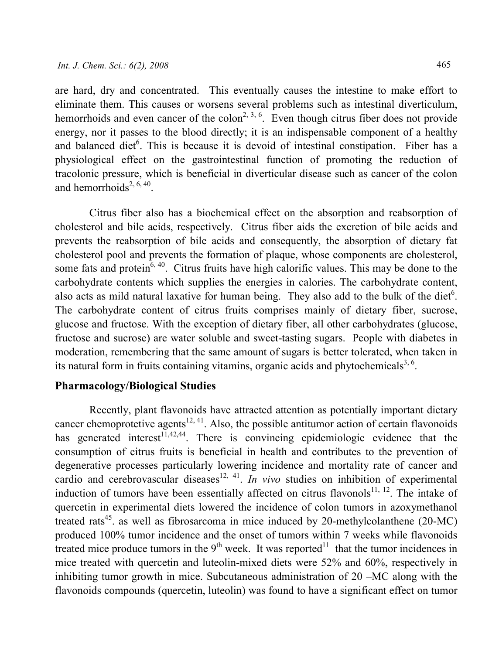are hard, dry and concentrated. This eventually causes the intestine to make effort to eliminate them. This causes or worsens several problems such as intestinal diverticulum, hemorrhoids and even cancer of the colon<sup>2, 3, 6</sup>. Even though citrus fiber does not provide energy, nor it passes to the blood directly; it is an indispensable component of a healthy and balanced diet<sup>6</sup>. This is because it is devoid of intestinal constipation. Fiber has a physiological effect on the gastrointestinal function of promoting the reduction of tracolonic pressure, which is beneficial in diverticular disease such as cancer of the colon and hemorrhoids<sup>2, 6, 40</sup>.

Citrus fiber also has a biochemical effect on the absorption and reabsorption of cholesterol and bile acids, respectively. Citrus fiber aids the excretion of bile acids and prevents the reabsorption of bile acids and consequently, the absorption of dietary fat cholesterol pool and prevents the formation of plaque, whose components are cholesterol, some fats and protein<sup>6, 40</sup>. Citrus fruits have high calorific values. This may be done to the carbohydrate contents which supplies the energies in calories. The carbohydrate content, also acts as mild natural laxative for human being. They also add to the bulk of the diet<sup>6</sup>. The carbohydrate content of citrus fruits comprises mainly of dietary fiber, sucrose, glucose and fructose. With the exception of dietary fiber, all other carbohydrates (glucose, fructose and sucrose) are water soluble and sweet-tasting sugars. People with diabetes in moderation, remembering that the same amount of sugars is better tolerated, when taken in its natural form in fruits containing vitamins, organic acids and phytochemicals $3, 6$ .

#### Pharmacology/Biological Studies

Recently, plant flavonoids have attracted attention as potentially important dietary cancer chemoprotetive agents $12, 41$ . Also, the possible antitumor action of certain flavonoids has generated interest<sup>11,42,44</sup>. There is convincing epidemiologic evidence that the consumption of citrus fruits is beneficial in health and contributes to the prevention of degenerative processes particularly lowering incidence and mortality rate of cancer and cardio and cerebrovascular diseases<sup>12, 41</sup>. In vivo studies on inhibition of experimental induction of tumors have been essentially affected on citrus flavonols<sup>11, 12</sup>. The intake of quercetin in experimental diets lowered the incidence of colon tumors in azoxymethanol treated rats<sup>45</sup>, as well as fibrosarcoma in mice induced by 20-methylcolanthene (20-MC) produced 100% tumor incidence and the onset of tumors within 7 weeks while flavonoids treated mice produce tumors in the  $9<sup>th</sup>$  week. It was reported<sup>11</sup> that the tumor incidences in mice treated with quercetin and luteolin-mixed diets were 52% and 60%, respectively in inhibiting tumor growth in mice. Subcutaneous administration of 20 –MC along with the flavonoids compounds (quercetin, luteolin) was found to have a significant effect on tumor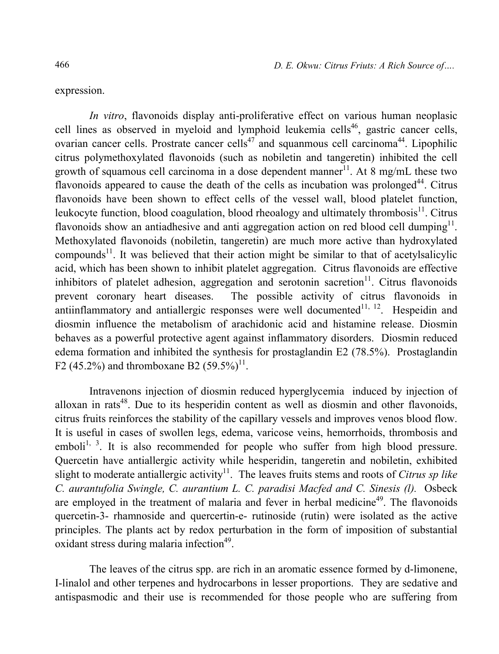expression.

In vitro, flavonoids display anti-proliferative effect on various human neoplasic cell lines as observed in myeloid and lymphoid leukemia cells<sup>46</sup>, gastric cancer cells, ovarian cancer cells. Prostrate cancer cells<sup>47</sup> and squanmous cell carcinoma<sup>44</sup>. Lipophilic citrus polymethoxylated flavonoids (such as nobiletin and tangeretin) inhibited the cell growth of squamous cell carcinoma in a dose dependent manner<sup>11</sup>. At 8 mg/mL these two flavonoids appeared to cause the death of the cells as incubation was prolonged<sup>44</sup>. Citrus flavonoids have been shown to effect cells of the vessel wall, blood platelet function, leukocyte function, blood coagulation, blood rheoalogy and ultimately thrombosis<sup>11</sup>. Citrus flavonoids show an antiadhesive and anti aggregation action on red blood cell dumping $^{11}$ . Methoxylated flavonoids (nobiletin, tangeretin) are much more active than hydroxylated compounds<sup>11</sup>. It was believed that their action might be similar to that of acetylsalicylic acid, which has been shown to inhibit platelet aggregation. Citrus flavonoids are effective inhibitors of platelet adhesion, aggregation and serotonin sacretion<sup>11</sup>. Citrus flavonoids prevent coronary heart diseases. The possible activity of citrus flavonoids in antiinflammatory and antiallergic responses were well documented $1, 12$ . Hespeidin and diosmin influence the metabolism of arachidonic acid and histamine release. Diosmin behaves as a powerful protective agent against inflammatory disorders. Diosmin reduced edema formation and inhibited the synthesis for prostaglandin E2 (78.5%). Prostaglandin F2 (45.2%) and thromboxane B2 (59.5%)<sup>11</sup>.

Intravenons injection of diosmin reduced hyperglycemia induced by injection of alloxan in rats<sup>48</sup>. Due to its hesperidin content as well as diosmin and other flavonoids, citrus fruits reinforces the stability of the capillary vessels and improves venos blood flow. It is useful in cases of swollen legs, edema, varicose veins, hemorrhoids, thrombosis and emboli<sup>1, 3</sup>. It is also recommended for people who suffer from high blood pressure. Quercetin have antiallergic activity while hesperidin, tangeretin and nobiletin, exhibited slight to moderate antiallergic activity<sup>11</sup>. The leaves fruits stems and roots of Citrus sp like C. aurantufolia Swingle, C. aurantium L. C. paradisi Macfed and C. Sinesis (l). Osbeck are employed in the treatment of malaria and fever in herbal medicine<sup>49</sup>. The flavonoids quercetin-3- rhamnoside and quercertin-e- rutinoside (rutin) were isolated as the active principles. The plants act by redox perturbation in the form of imposition of substantial oxidant stress during malaria infection<sup>49</sup>.

The leaves of the citrus spp. are rich in an aromatic essence formed by d-limonene, I-linalol and other terpenes and hydrocarbons in lesser proportions. They are sedative and antispasmodic and their use is recommended for those people who are suffering from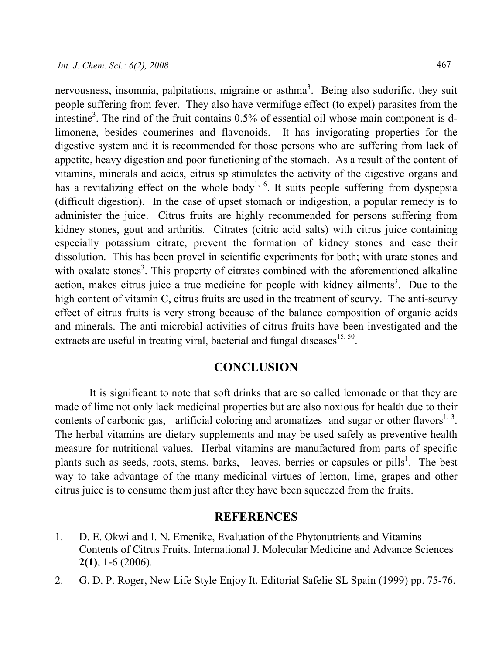nervousness, insomnia, palpitations, migraine or asthma<sup>3</sup>. Being also sudorific, they suit people suffering from fever. They also have vermifuge effect (to expel) parasites from the intestine<sup>3</sup>. The rind of the fruit contains 0.5% of essential oil whose main component is dlimonene, besides coumerines and flavonoids. It has invigorating properties for the digestive system and it is recommended for those persons who are suffering from lack of appetite, heavy digestion and poor functioning of the stomach. As a result of the content of vitamins, minerals and acids, citrus sp stimulates the activity of the digestive organs and has a revitalizing effect on the whole body<sup>1, 6</sup>. It suits people suffering from dyspepsia (difficult digestion). In the case of upset stomach or indigestion, a popular remedy is to administer the juice. Citrus fruits are highly recommended for persons suffering from kidney stones, gout and arthritis. Citrates (citric acid salts) with citrus juice containing especially potassium citrate, prevent the formation of kidney stones and ease their dissolution. This has been provel in scientific experiments for both; with urate stones and with oxalate stones<sup>3</sup>. This property of citrates combined with the aforementioned alkaline action, makes citrus juice a true medicine for people with kidney ailments<sup>3</sup>. Due to the high content of vitamin C, citrus fruits are used in the treatment of scurvy. The anti-scurvy effect of citrus fruits is very strong because of the balance composition of organic acids and minerals. The anti microbial activities of citrus fruits have been investigated and the extracts are useful in treating viral, bacterial and fungal diseases $15, 50$ .

## **CONCLUSION**

It is significant to note that soft drinks that are so called lemonade or that they are made of lime not only lack medicinal properties but are also noxious for health due to their contents of carbonic gas, artificial coloring and aromatizes and sugar or other flavors<sup>1, 3</sup>. The herbal vitamins are dietary supplements and may be used safely as preventive health measure for nutritional values. Herbal vitamins are manufactured from parts of specific plants such as seeds, roots, stems, barks, leaves, berries or capsules or pills<sup>1</sup>. The best way to take advantage of the many medicinal virtues of lemon, lime, grapes and other citrus juice is to consume them just after they have been squeezed from the fruits.

#### **REFERENCES**

- 1. D. E. Okwi and I. N. Emenike, Evaluation of the Phytonutrients and Vitamins Contents of Citrus Fruits. International J. Molecular Medicine and Advance Sciences 2(1), 1-6 (2006).
- 2. G. D. P. Roger, New Life Style Enjoy It. Editorial Safelie SL Spain (1999) pp. 75-76.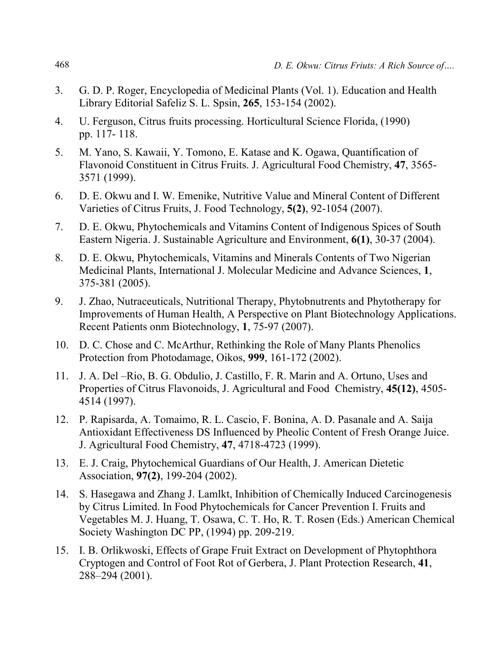- 3. G. D. P. Roger, Encyclopedia of Medicinal Plants (Vol. 1). Education and Health Library Editorial Safeliz S. L. Spsin, 265, 153-154 (2002).
- 4. U. Ferguson, Citrus fruits processing. Horticultural Science Florida, (1990) pp. 117- 118.
- 5. M. Yano, S. Kawaii, Y. Tomono, E. Katase and K. Ogawa, Quantification of Flavonoid Constituent in Citrus Fruits. J. Agricultural Food Chemistry, 47, 3565- 3571 (1999).
- 6. D. E. Okwu and I. W. Emenike, Nutritive Value and Mineral Content of Different Varieties of Citrus Fruits, J. Food Technology, 5(2), 92-1054 (2007).
- 7. D. E. Okwu, Phytochemicals and Vitamins Content of Indigenous Spices of South Eastern Nigeria. J. Sustainable Agriculture and Environment, 6(1), 30-37 (2004).
- 8. D. E. Okwu, Phytochemicals, Vitamins and Minerals Contents of Two Nigerian Medicinal Plants, International J. Molecular Medicine and Advance Sciences, 1, 375-381 (2005).
- 9. J. Zhao, Nutraceuticals, Nutritional Therapy, Phytobnutrents and Phytotherapy for Improvements of Human Health, A Perspective on Plant Biotechnology Applications. Recent Patients onm Biotechnology, 1, 75-97 (2007).
- 10. D. C. Chose and C. McArthur, Rethinking the Role of Many Plants Phenolics Protection from Photodamage, Oikos, 999, 161-172 (2002).
- 11. J. A. Del –Rio, B. G. Obdulio, J. Castillo, F. R. Marin and A. Ortuno, Uses and Properties of Citrus Flavonoids, J. Agricultural and Food Chemistry, 45(12), 4505- 4514 (1997).
- 12. P. Rapisarda, A. Tomaimo, R. L. Cascio, F. Bonina, A. D. Pasanale and A. Saija Antioxidant Effectiveness DS Influenced by Pheolic Content of Fresh Orange Juice. J. Agricultural Food Chemistry, 47, 4718-4723 (1999).
- 13. E. J. Craig, Phytochemical Guardians of Our Health, J. American Dietetic Association, 97(2), 199-204 (2002).
- 14. S. Hasegawa and Zhang J. Lamlkt, Inhibition of Chemically Induced Carcinogenesis by Citrus Limited. In Food Phytochemicals for Cancer Prevention I. Fruits and Vegetables M. J. Huang, T. Osawa, C. T. Ho, R. T. Rosen (Eds.) American Chemical Society Washington DC PP, (1994) pp. 209-219.
- 15. I. B. Orlikwoski, Effects of Grape Fruit Extract on Development of Phytophthora Cryptogen and Control of Foot Rot of Gerbera, J. Plant Protection Research, 41, 288–294 (2001).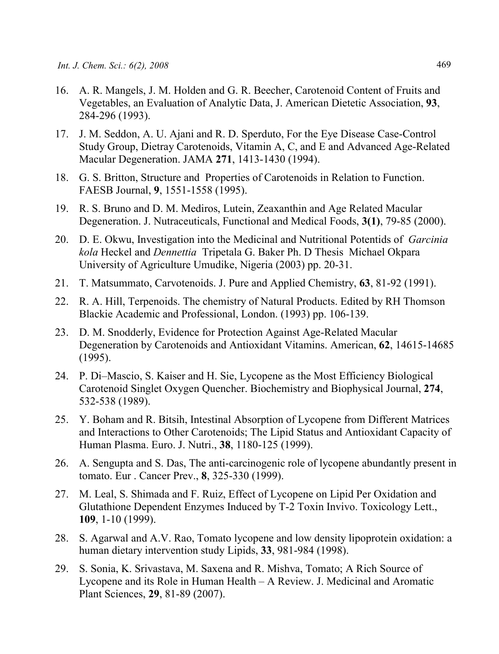- 16. A. R. Mangels, J. M. Holden and G. R. Beecher, Carotenoid Content of Fruits and Vegetables, an Evaluation of Analytic Data, J. American Dietetic Association, 93, 284-296 (1993).
- 17. J. M. Seddon, A. U. Ajani and R. D. Sperduto, For the Eye Disease Case-Control Study Group, Dietray Carotenoids, Vitamin A, C, and E and Advanced Age-Related Macular Degeneration. JAMA 271, 1413-1430 (1994).
- 18. G. S. Britton, Structure and Properties of Carotenoids in Relation to Function. FAESB Journal, 9, 1551-1558 (1995).
- 19. R. S. Bruno and D. M. Mediros, Lutein, Zeaxanthin and Age Related Macular Degeneration. J. Nutraceuticals, Functional and Medical Foods, 3(1), 79-85 (2000).
- 20. D. E. Okwu, Investigation into the Medicinal and Nutritional Potentids of *Garcinia* kola Heckel and Dennettia Tripetala G. Baker Ph. D Thesis Michael Okpara University of Agriculture Umudike, Nigeria (2003) pp. 20-31.
- 21. T. Matsummato, Carvotenoids. J. Pure and Applied Chemistry, 63, 81-92 (1991).
- 22. R. A. Hill, Terpenoids. The chemistry of Natural Products. Edited by RH Thomson Blackie Academic and Professional, London. (1993) pp. 106-139.
- 23. D. M. Snodderly, Evidence for Protection Against Age-Related Macular Degeneration by Carotenoids and Antioxidant Vitamins. American, 62, 14615-14685 (1995).
- 24. P. Di–Mascio, S. Kaiser and H. Sie, Lycopene as the Most Efficiency Biological Carotenoid Singlet Oxygen Quencher. Biochemistry and Biophysical Journal, 274, 532-538 (1989).
- 25. Y. Boham and R. Bitsih, Intestinal Absorption of Lycopene from Different Matrices and Interactions to Other Carotenoids; The Lipid Status and Antioxidant Capacity of Human Plasma. Euro. J. Nutri., 38, 1180-125 (1999).
- 26. A. Sengupta and S. Das, The anti-carcinogenic role of lycopene abundantly present in tomato. Eur . Cancer Prev., 8, 325-330 (1999).
- 27. M. Leal, S. Shimada and F. Ruiz, Effect of Lycopene on Lipid Per Oxidation and Glutathione Dependent Enzymes Induced by T-2 Toxin Invivo. Toxicology Lett., 109, 1-10 (1999).
- 28. S. Agarwal and A.V. Rao, Tomato lycopene and low density lipoprotein oxidation: a human dietary intervention study Lipids, 33, 981-984 (1998).
- 29. S. Sonia, K. Srivastava, M. Saxena and R. Mishva, Tomato; A Rich Source of Lycopene and its Role in Human Health – A Review. J. Medicinal and Aromatic Plant Sciences, 29, 81-89 (2007).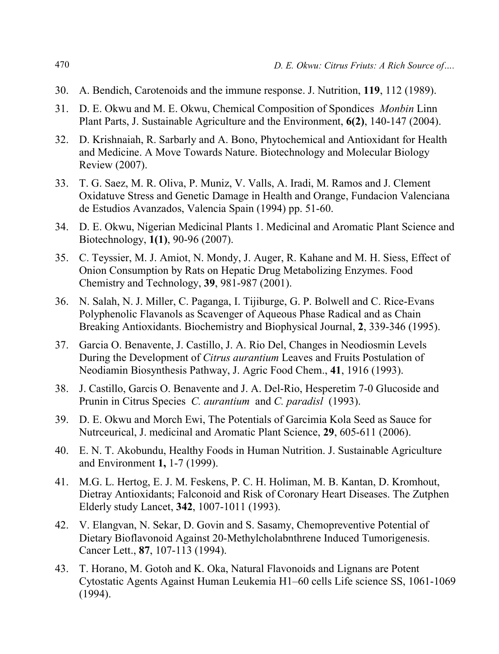- 30. A. Bendich, Carotenoids and the immune response. J. Nutrition, 119, 112 (1989).
- 31. D. E. Okwu and M. E. Okwu, Chemical Composition of Spondices Monbin Linn Plant Parts, J. Sustainable Agriculture and the Environment, 6(2), 140-147 (2004).
- 32. D. Krishnaiah, R. Sarbarly and A. Bono, Phytochemical and Antioxidant for Health and Medicine. A Move Towards Nature. Biotechnology and Molecular Biology Review (2007).
- 33. T. G. Saez, M. R. Oliva, P. Muniz, V. Valls, A. Iradi, M. Ramos and J. Clement Oxidatuve Stress and Genetic Damage in Health and Orange, Fundacion Valenciana de Estudios Avanzados, Valencia Spain (1994) pp. 51-60.
- 34. D. E. Okwu, Nigerian Medicinal Plants 1. Medicinal and Aromatic Plant Science and Biotechnology, 1(1), 90-96 (2007).
- 35. C. Teyssier, M. J. Amiot, N. Mondy, J. Auger, R. Kahane and M. H. Siess, Effect of Onion Consumption by Rats on Hepatic Drug Metabolizing Enzymes. Food Chemistry and Technology, 39, 981-987 (2001).
- 36. N. Salah, N. J. Miller, C. Paganga, I. Tijiburge, G. P. Bolwell and C. Rice-Evans Polyphenolic Flavanols as Scavenger of Aqueous Phase Radical and as Chain Breaking Antioxidants. Biochemistry and Biophysical Journal, 2, 339-346 (1995).
- 37. Garcia O. Benavente, J. Castillo, J. A. Rio Del, Changes in Neodiosmin Levels During the Development of Citrus aurantium Leaves and Fruits Postulation of Neodiamin Biosynthesis Pathway, J. Agric Food Chem., 41, 1916 (1993).
- 38. J. Castillo, Garcis O. Benavente and J. A. Del-Rio, Hesperetim 7-0 Glucoside and Prunin in Citrus Species C. aurantium and C. paradisl (1993).
- 39. D. E. Okwu and Morch Ewi, The Potentials of Garcimia Kola Seed as Sauce for Nutrceurical, J. medicinal and Aromatic Plant Science, 29, 605-611 (2006).
- 40. E. N. T. Akobundu, Healthy Foods in Human Nutrition. J. Sustainable Agriculture and Environment 1, 1-7 (1999).
- 41. M.G. L. Hertog, E. J. M. Feskens, P. C. H. Holiman, M. B. Kantan, D. Kromhout, Dietray Antioxidants; Falconoid and Risk of Coronary Heart Diseases. The Zutphen Elderly study Lancet, 342, 1007-1011 (1993).
- 42. V. Elangvan, N. Sekar, D. Govin and S. Sasamy, Chemopreventive Potential of Dietary Bioflavonoid Against 20-Methylcholabnthrene Induced Tumorigenesis. Cancer Lett., 87, 107-113 (1994).
- 43. T. Horano, M. Gotoh and K. Oka, Natural Flavonoids and Lignans are Potent Cytostatic Agents Against Human Leukemia H1–60 cells Life science SS, 1061-1069 (1994).